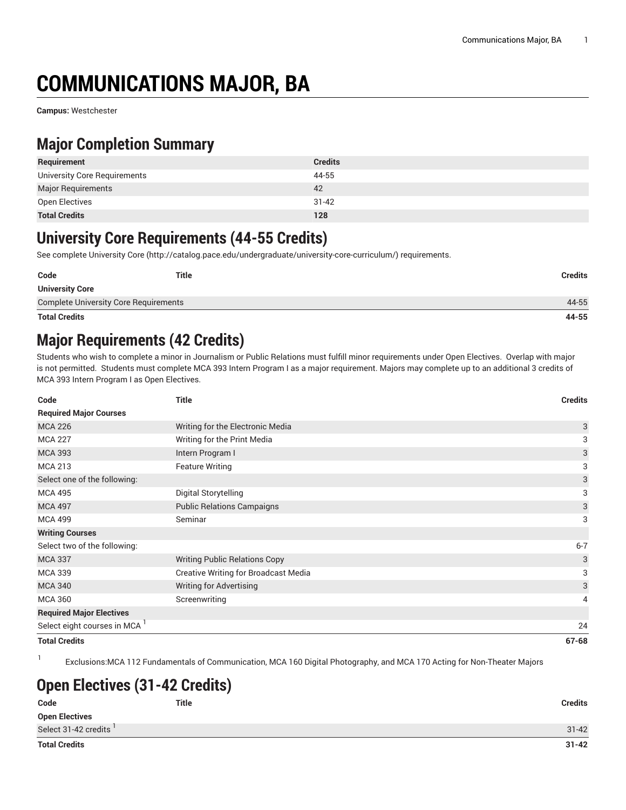# **COMMUNICATIONS MAJOR, BA**

**Campus:** Westchester

### **Major Completion Summary**

| Requirement                  | <b>Credits</b> |
|------------------------------|----------------|
| University Core Requirements | 44-55          |
| Major Requirements           | 42             |
| Open Electives               | $31 - 42$      |
| <b>Total Credits</b>         | 128            |

#### **University Core Requirements (44-55 Credits)**

See complete [University](http://catalog.pace.edu/undergraduate/university-core-curriculum/) Core (<http://catalog.pace.edu/undergraduate/university-core-curriculum/>) requirements.

| Code                                         | Title | Credits |
|----------------------------------------------|-------|---------|
| <b>University Core</b>                       |       |         |
| <b>Complete University Core Requirements</b> |       | 44-55   |
| <b>Total Credits</b>                         |       | 44-55   |

### **Major Requirements (42 Credits)**

Students who wish to complete a minor in Journalism or Public Relations must fulfill minor requirements under Open Electives. Overlap with major is not permitted. Students must complete MCA 393 Intern Program I as a major requirement. Majors may complete up to an additional 3 credits of MCA 393 Intern Program I as Open Electives.

| Code                                     | <b>Title</b>                                | <b>Credits</b> |
|------------------------------------------|---------------------------------------------|----------------|
| <b>Required Major Courses</b>            |                                             |                |
| <b>MCA 226</b>                           | Writing for the Electronic Media            | 3              |
| <b>MCA 227</b>                           | Writing for the Print Media                 | 3              |
| <b>MCA 393</b>                           | Intern Program I                            | 3              |
| <b>MCA 213</b>                           | <b>Feature Writing</b>                      | 3              |
| Select one of the following:             |                                             | 3              |
| <b>MCA 495</b>                           | Digital Storytelling                        | 3              |
| <b>MCA 497</b>                           | <b>Public Relations Campaigns</b>           | 3              |
| <b>MCA 499</b>                           | Seminar                                     | 3              |
| <b>Writing Courses</b>                   |                                             |                |
| Select two of the following:             |                                             | $6 - 7$        |
| <b>MCA 337</b>                           | <b>Writing Public Relations Copy</b>        | 3              |
| <b>MCA 339</b>                           | <b>Creative Writing for Broadcast Media</b> | 3              |
| <b>MCA 340</b>                           | <b>Writing for Advertising</b>              | 3              |
| <b>MCA 360</b>                           | Screenwriting                               | 4              |
| <b>Required Major Electives</b>          |                                             |                |
| Select eight courses in MCA <sup>1</sup> |                                             | 24             |
| <b>Total Credits</b>                     |                                             | $67 - 68$      |

1 Exclusions:MCA 112 Fundamentals of Communication, MCA 160 Digital Photography, and MCA 170 Acting for Non-Theater Majors

## **Open Electives (31-42 Credits)**

| Code                  | <b>Title</b> | <b>Credits</b> |
|-----------------------|--------------|----------------|
| <b>Open Electives</b> |              |                |
| Select 31-42 credits  |              | $31 - 42$      |
| <b>Total Credits</b>  |              | $31 - 42$      |